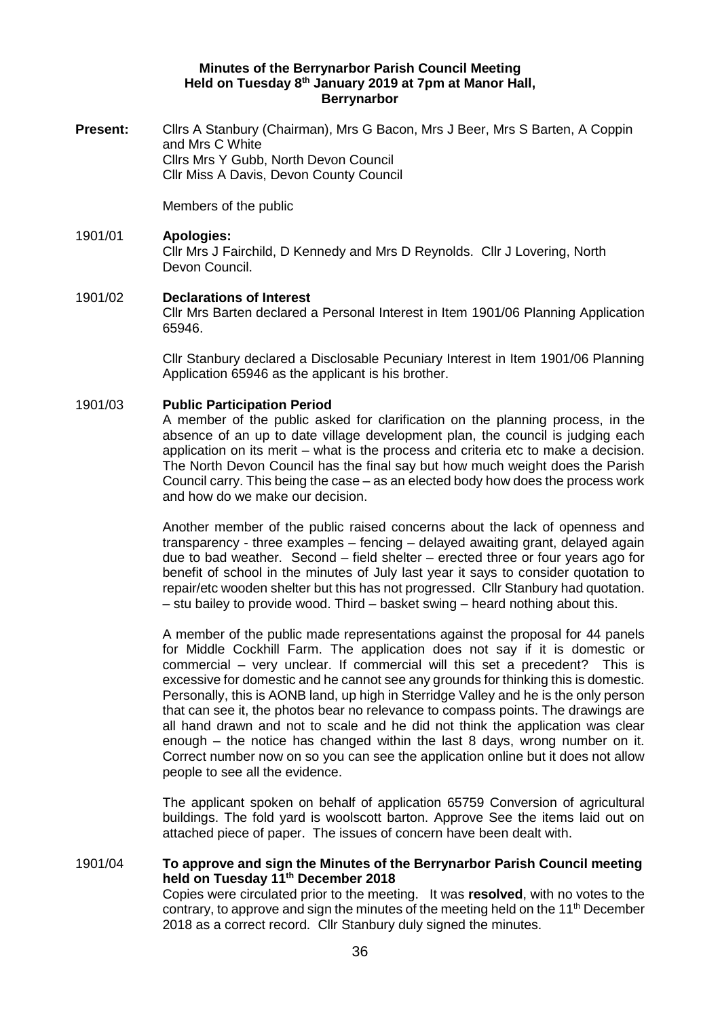#### **Minutes of the Berrynarbor Parish Council Meeting Held on Tuesday 8 th January 2019 at 7pm at Manor Hall, Berrynarbor**

**Present:** Clirs A Stanbury (Chairman), Mrs G Bacon, Mrs J Beer, Mrs S Barten, A Coppin and Mrs C White Cllrs Mrs Y Gubb, North Devon Council Cllr Miss A Davis, Devon County Council

Members of the public

# 1901/01 **Apologies:** Cllr Mrs J Fairchild, D Kennedy and Mrs D Reynolds. Cllr J Lovering, North Devon Council.

### 1901/02 **Declarations of Interest**

Cllr Mrs Barten declared a Personal Interest in Item 1901/06 Planning Application 65946.

Cllr Stanbury declared a Disclosable Pecuniary Interest in Item 1901/06 Planning Application 65946 as the applicant is his brother.

#### 1901/03 **Public Participation Period**

A member of the public asked for clarification on the planning process, in the absence of an up to date village development plan, the council is judging each application on its merit – what is the process and criteria etc to make a decision. The North Devon Council has the final say but how much weight does the Parish Council carry. This being the case – as an elected body how does the process work and how do we make our decision.

Another member of the public raised concerns about the lack of openness and transparency - three examples – fencing – delayed awaiting grant, delayed again due to bad weather. Second – field shelter – erected three or four years ago for benefit of school in the minutes of July last year it says to consider quotation to repair/etc wooden shelter but this has not progressed. Cllr Stanbury had quotation. – stu bailey to provide wood. Third – basket swing – heard nothing about this.

A member of the public made representations against the proposal for 44 panels for Middle Cockhill Farm. The application does not say if it is domestic or commercial – very unclear. If commercial will this set a precedent? This is excessive for domestic and he cannot see any grounds for thinking this is domestic. Personally, this is AONB land, up high in Sterridge Valley and he is the only person that can see it, the photos bear no relevance to compass points. The drawings are all hand drawn and not to scale and he did not think the application was clear enough – the notice has changed within the last 8 days, wrong number on it. Correct number now on so you can see the application online but it does not allow people to see all the evidence.

The applicant spoken on behalf of application 65759 Conversion of agricultural buildings. The fold yard is woolscott barton. Approve See the items laid out on attached piece of paper. The issues of concern have been dealt with.

#### 1901/04 **To approve and sign the Minutes of the Berrynarbor Parish Council meeting held on Tuesday 11th December 2018**

Copies were circulated prior to the meeting. It was **resolved**, with no votes to the contrary, to approve and sign the minutes of the meeting held on the  $11<sup>th</sup>$  December 2018 as a correct record. Cllr Stanbury duly signed the minutes.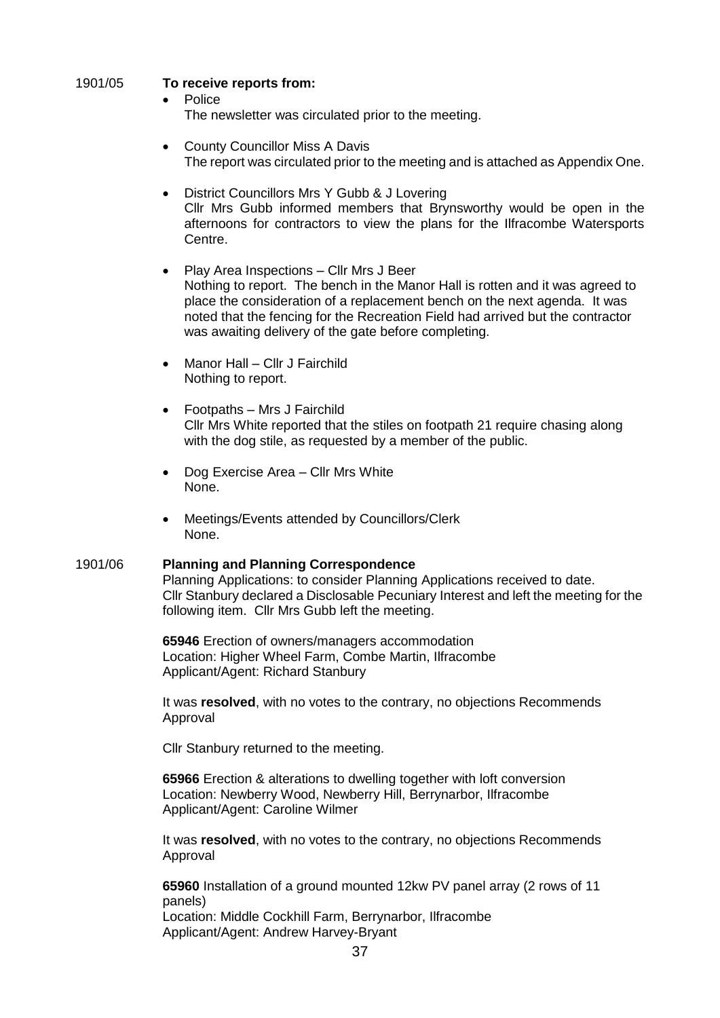## 1901/05 **To receive reports from:**

- Police The newsletter was circulated prior to the meeting.
- County Councillor Miss A Davis The report was circulated prior to the meeting and is attached as Appendix One.
- District Councillors Mrs Y Gubb & J Lovering Cllr Mrs Gubb informed members that Brynsworthy would be open in the afternoons for contractors to view the plans for the Ilfracombe Watersports Centre.
- Play Area Inspections Cllr Mrs J Beer Nothing to report. The bench in the Manor Hall is rotten and it was agreed to place the consideration of a replacement bench on the next agenda. It was noted that the fencing for the Recreation Field had arrived but the contractor was awaiting delivery of the gate before completing.
- Manor Hall Cllr J Fairchild Nothing to report.
- Footpaths Mrs J Fairchild Cllr Mrs White reported that the stiles on footpath 21 require chasing along with the dog stile, as requested by a member of the public.
- Dog Exercise Area Cllr Mrs White None.
- Meetings/Events attended by Councillors/Clerk None.

## 1901/06 **Planning and Planning Correspondence**

Planning Applications: to consider Planning Applications received to date. Cllr Stanbury declared a Disclosable Pecuniary Interest and left the meeting for the following item. Cllr Mrs Gubb left the meeting.

**65946** Erection of owners/managers accommodation Location: Higher Wheel Farm, Combe Martin, Ilfracombe Applicant/Agent: Richard Stanbury

It was **resolved**, with no votes to the contrary, no objections Recommends Approval

Cllr Stanbury returned to the meeting.

**65966** Erection & alterations to dwelling together with loft conversion Location: Newberry Wood, Newberry Hill, Berrynarbor, Ilfracombe Applicant/Agent: Caroline Wilmer

It was **resolved**, with no votes to the contrary, no objections Recommends Approval

**65960** Installation of a ground mounted 12kw PV panel array (2 rows of 11 panels) Location: Middle Cockhill Farm, Berrynarbor, Ilfracombe Applicant/Agent: Andrew Harvey-Bryant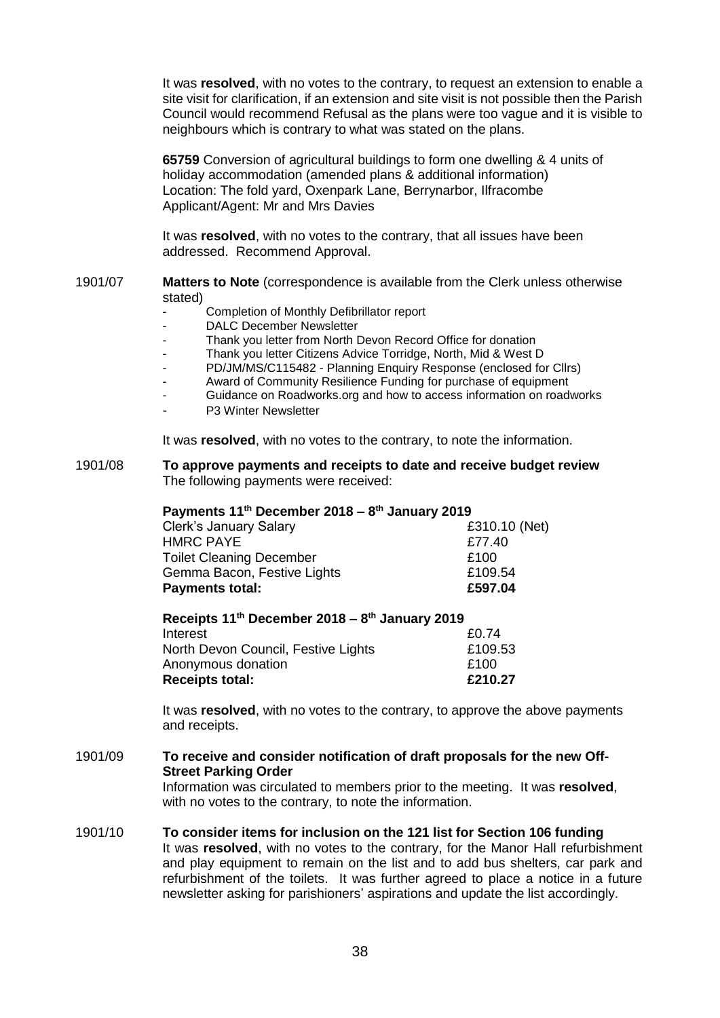It was **resolved**, with no votes to the contrary, to request an extension to enable a site visit for clarification, if an extension and site visit is not possible then the Parish Council would recommend Refusal as the plans were too vague and it is visible to neighbours which is contrary to what was stated on the plans.

**65759** Conversion of agricultural buildings to form one dwelling & 4 units of holiday accommodation (amended plans & additional information) Location: The fold yard, Oxenpark Lane, Berrynarbor, Ilfracombe Applicant/Agent: Mr and Mrs Davies

It was **resolved**, with no votes to the contrary, that all issues have been addressed. Recommend Approval.

- 1901/07 **Matters to Note** (correspondence is available from the Clerk unless otherwise stated)
	- Completion of Monthly Defibrillator report
	- DALC December Newsletter
	- Thank you letter from North Devon Record Office for donation
	- Thank you letter Citizens Advice Torridge, North, Mid & West D
	- PD/JM/MS/C115482 Planning Enquiry Response (enclosed for Cllrs)
	- Award of Community Resilience Funding for purchase of equipment
	- Guidance on Roadworks.org and how to access information on roadworks
	- P3 Winter Newsletter

It was **resolved**, with no votes to the contrary, to note the information.

1901/08 **To approve payments and receipts to date and receive budget review** The following payments were received:

#### **Payments 11th December 2018 – 8 th January 2019**

| <b>Clerk's January Salary</b>   | £310.10 (Net) |
|---------------------------------|---------------|
| <b>HMRC PAYE</b>                | £77.40        |
| <b>Toilet Cleaning December</b> | £100          |
| Gemma Bacon, Festive Lights     | £109.54       |
| <b>Payments total:</b>          | £597.04       |

**Receipts 11th December 2018 – 8 th January 2019** Interest 20.74 North Devon Council, Festive Lights **Ellips** E109.53 Anonymous donation **E100** Receipts total: **E210.27** 

It was **resolved**, with no votes to the contrary, to approve the above payments and receipts.

1901/09 **To receive and consider notification of draft proposals for the new Off-Street Parking Order**

> Information was circulated to members prior to the meeting. It was **resolved**, with no votes to the contrary, to note the information.

### 1901/10 **To consider items for inclusion on the 121 list for Section 106 funding**

It was **resolved**, with no votes to the contrary, for the Manor Hall refurbishment and play equipment to remain on the list and to add bus shelters, car park and refurbishment of the toilets. It was further agreed to place a notice in a future newsletter asking for parishioners' aspirations and update the list accordingly.